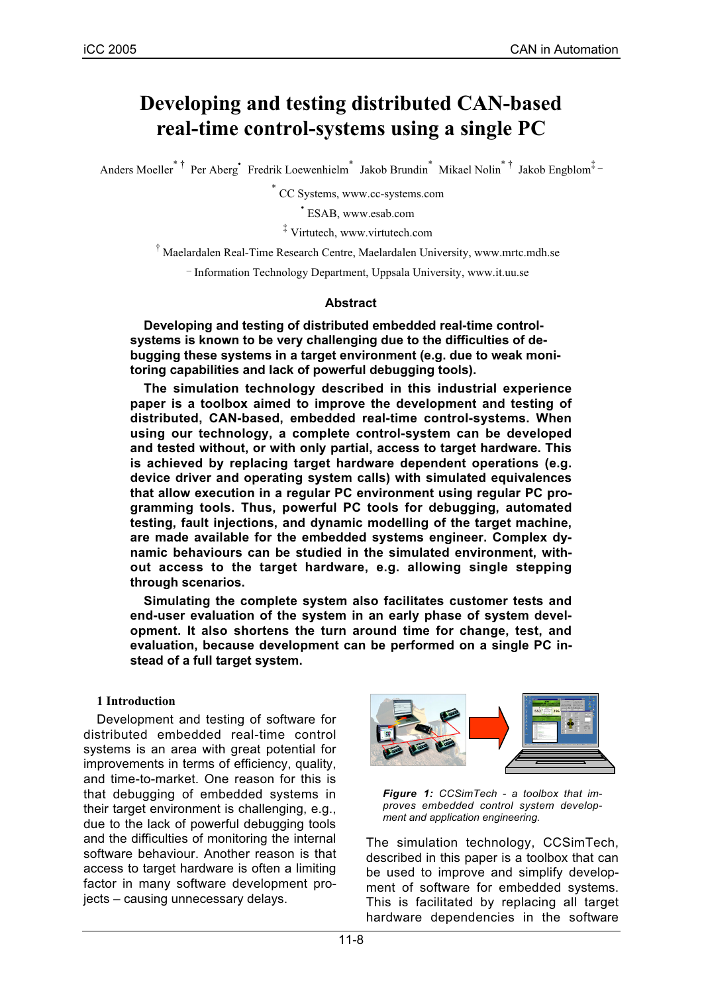# **Developing and testing distributed CAN-based real-time control-systems using a single PC**

Anders Moeller<sup>\*†</sup> Per Aberg<sup>\*</sup> Fredrik Loewenhielm<sup>\*</sup> Jakob Brundin<sup>\*</sup> Mikael Nolin<sup>\*†</sup> Jakob Engblom<sup>‡</sup>-

\* CC Systems, www.cc-systems.com

• ESAB, www.esab.com

‡ Virtutech, www.virtutech.com

† Maelardalen Real-Time Research Centre, Maelardalen University, www.mrtc.mdh.se

\_ Information Technology Department, Uppsala University, www.it.uu.se

#### **Abstract**

**Developing and testing of distributed embedded real-time controlsystems is known to be very challenging due to the difficulties of debugging these systems in a target environment (e.g. due to weak monitoring capabilities and lack of powerful debugging tools).**

**The simulation technology described in this industrial experience paper is a toolbox aimed to improve the development and testing of distributed, CAN-based, embedded real-time control-systems. When using our technology, a complete control-system can be developed and tested without, or with only partial, access to target hardware. This is achieved by replacing target hardware dependent operations (e.g. device driver and operating system calls) with simulated equivalences that allow execution in a regular PC environment using regular PC programming tools. Thus, powerful PC tools for debugging, automated testing, fault injections, and dynamic modelling of the target machine, are made available for the embedded systems engineer. Complex dynamic behaviours can be studied in the simulated environment, without access to the target hardware, e.g. allowing single stepping through scenarios.**

**Simulating the complete system also facilitates customer tests and end-user evaluation of the system in an early phase of system development. It also shortens the turn around time for change, test, and evaluation, because development can be performed on a single PC instead of a full target system.**

#### **1 Introduction**

Development and testing of software for distributed embedded real-time control systems is an area with great potential for improvements in terms of efficiency, quality, and time-to-market. One reason for this is that debugging of embedded systems in their target environment is challenging, e.g., due to the lack of powerful debugging tools and the difficulties of monitoring the internal software behaviour. Another reason is that access to target hardware is often a limiting factor in many software development projects – causing unnecessary delays.



*Figure 1: CCSimTech - a toolbox that improves embedded control system development and application engineering.*

The simulation technology, CCSimTech, described in this paper is a toolbox that can be used to improve and simplify development of software for embedded systems. This is facilitated by replacing all target hardware dependencies in the software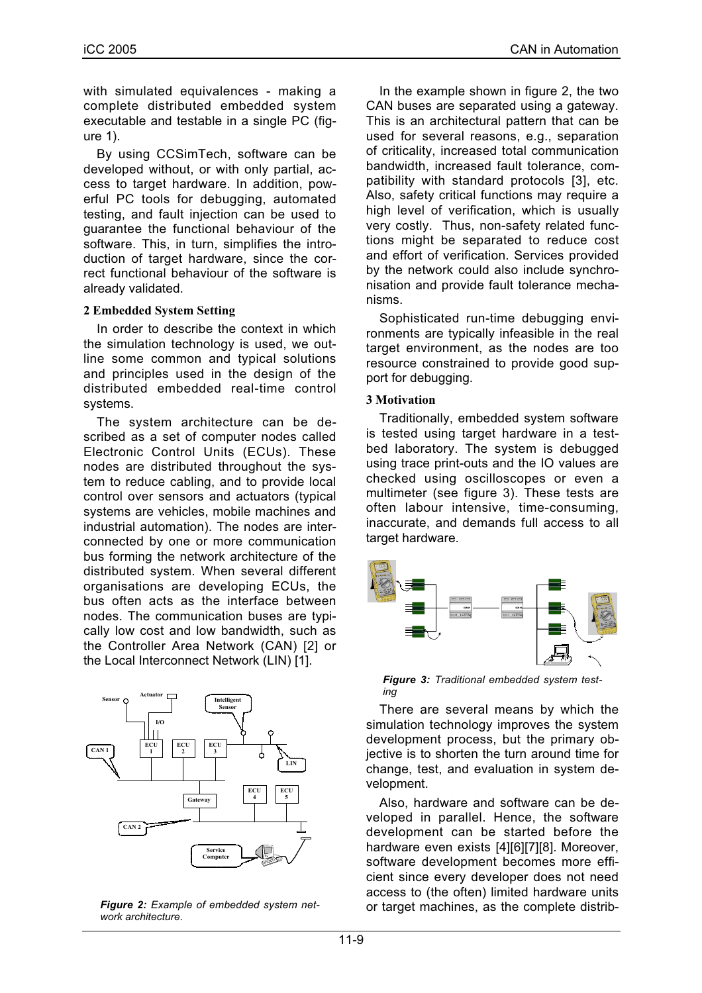with simulated equivalences - making a complete distributed embedded system executable and testable in a single PC (figure 1).

By using CCSimTech, software can be developed without, or with only partial, access to target hardware. In addition, powerful PC tools for debugging, automated testing, and fault injection can be used to guarantee the functional behaviour of the software. This, in turn, simplifies the introduction of target hardware, since the correct functional behaviour of the software is already validated.

#### **2 Embedded System Setting**

In order to describe the context in which the simulation technology is used, we outline some common and typical solutions and principles used in the design of the distributed embedded real-time control systems.

The system architecture can be described as a set of computer nodes called Electronic Control Units (ECUs). These nodes are distributed throughout the system to reduce cabling, and to provide local control over sensors and actuators (typical systems are vehicles, mobile machines and industrial automation). The nodes are interconnected by one or more communication bus forming the network architecture of the distributed system. When several different organisations are developing ECUs, the bus often acts as the interface between nodes. The communication buses are typically low cost and low bandwidth, such as the Controller Area Network (CAN) [2] or the Local Interconnect Network (LIN) [1].



*Figure 2: Example of embedded system network architecture.*

In the example shown in figure 2, the two CAN buses are separated using a gateway. This is an architectural pattern that can be used for several reasons, e.g., separation of criticality, increased total communication bandwidth, increased fault tolerance, compatibility with standard protocols [3], etc. Also, safety critical functions may require a high level of verification, which is usually very costly. Thus, non-safety related functions might be separated to reduce cost and effort of verification. Services provided by the network could also include synchronisation and provide fault tolerance mechanisms.

Sophisticated run-time debugging environments are typically infeasible in the real target environment, as the nodes are too resource constrained to provide good support for debugging.

#### **3 Motivation**

Traditionally, embedded system software is tested using target hardware in a testbed laboratory. The system is debugged using trace print-outs and the IO values are checked using oscilloscopes or even a multimeter (see figure 3). These tests are often labour intensive, time-consuming, inaccurate, and demands full access to all target hardware.



*Figure 3: Traditional embedded system testing*

There are several means by which the simulation technology improves the system development process, but the primary objective is to shorten the turn around time for change, test, and evaluation in system development.

Also, hardware and software can be developed in parallel. Hence, the software development can be started before the hardware even exists [4][6][7][8]. Moreover, software development becomes more efficient since every developer does not need access to (the often) limited hardware units or target machines, as the complete distrib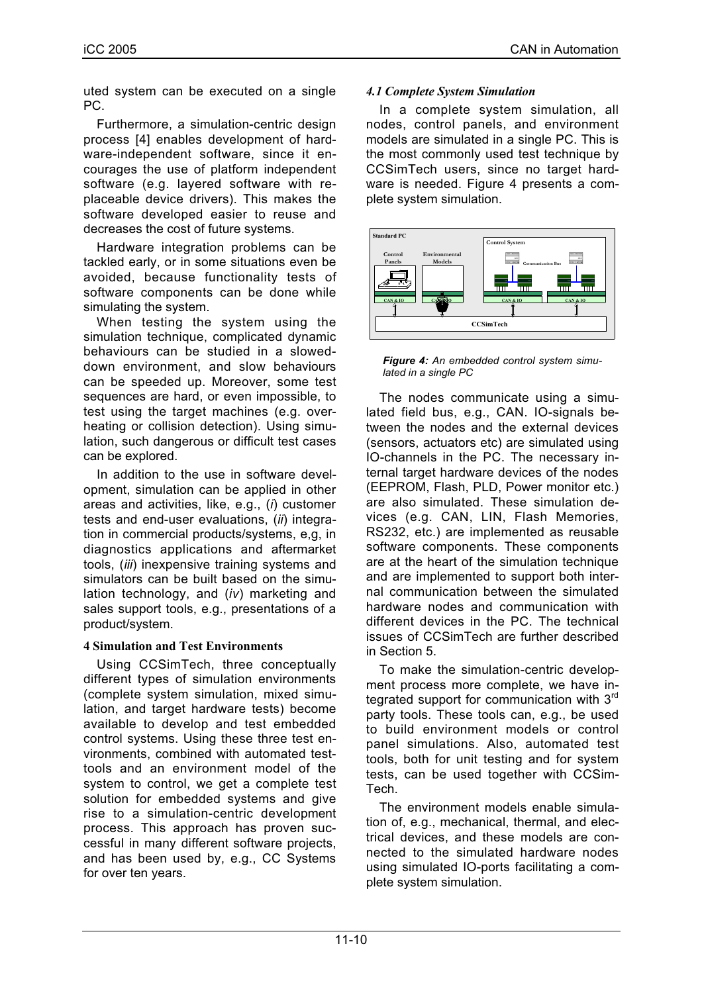uted system can be executed on a single PC.

Furthermore, a simulation-centric design process [4] enables development of hardware-independent software, since it encourages the use of platform independent software (e.g. layered software with replaceable device drivers). This makes the software developed easier to reuse and decreases the cost of future systems.

Hardware integration problems can be tackled early, or in some situations even be avoided, because functionality tests of software components can be done while simulating the system.

When testing the system using the simulation technique, complicated dynamic behaviours can be studied in a sloweddown environment, and slow behaviours can be speeded up. Moreover, some test sequences are hard, or even impossible, to test using the target machines (e.g. overheating or collision detection). Using simulation, such dangerous or difficult test cases can be explored.

In addition to the use in software development, simulation can be applied in other areas and activities, like, e.g., (*i*) customer tests and end-user evaluations, (*ii*) integration in commercial products/systems, e,g, in diagnostics applications and aftermarket tools, (*iii*) inexpensive training systems and simulators can be built based on the simulation technology, and (*iv*) marketing and sales support tools, e.g., presentations of a product/system.

## **4 Simulation and Test Environments**

Using CCSimTech, three conceptually different types of simulation environments (complete system simulation, mixed simulation, and target hardware tests) become available to develop and test embedded control systems. Using these three test environments, combined with automated testtools and an environment model of the system to control, we get a complete test solution for embedded systems and give rise to a simulation-centric development process. This approach has proven successful in many different software projects, and has been used by, e.g., CC Systems for over ten years.

## *4.1 Complete System Simulation*

In a complete system simulation, all nodes, control panels, and environment models are simulated in a single PC. This is the most commonly used test technique by CCSimTech users, since no target hardware is needed. Figure 4 presents a complete system simulation.



*Figure 4: An embedded control system simulated in a single PC*

The nodes communicate using a simulated field bus, e.g., CAN. IO-signals between the nodes and the external devices (sensors, actuators etc) are simulated using IO-channels in the PC. The necessary internal target hardware devices of the nodes (EEPROM, Flash, PLD, Power monitor etc.) are also simulated. These simulation devices (e.g. CAN, LIN, Flash Memories, RS232, etc.) are implemented as reusable software components. These components are at the heart of the simulation technique and are implemented to support both internal communication between the simulated hardware nodes and communication with different devices in the PC. The technical issues of CCSimTech are further described in Section 5.

To make the simulation-centric development process more complete, we have integrated support for communication with 3<sup>rd</sup> party tools. These tools can, e.g., be used to build environment models or control panel simulations. Also, automated test tools, both for unit testing and for system tests, can be used together with CCSim-Tech.

The environment models enable simulation of, e.g., mechanical, thermal, and electrical devices, and these models are connected to the simulated hardware nodes using simulated IO-ports facilitating a complete system simulation.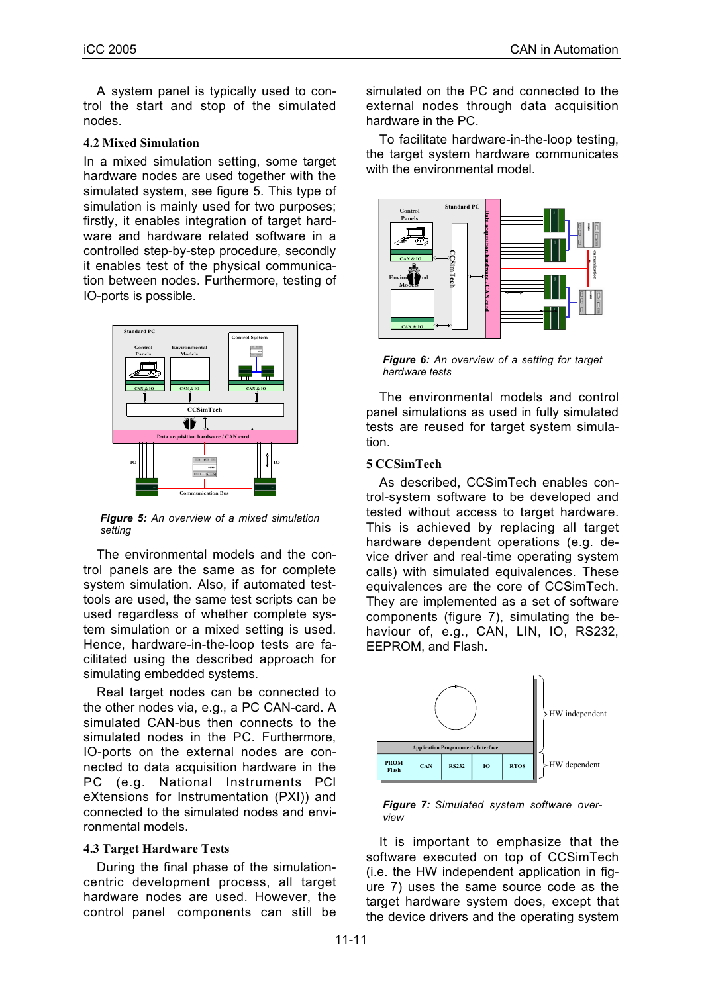A system panel is typically used to control the start and stop of the simulated nodes.

## **4.2 Mixed Simulation**

In a mixed simulation setting, some target hardware nodes are used together with the simulated system, see figure 5. This type of simulation is mainly used for two purposes; firstly, it enables integration of target hardware and hardware related software in a controlled step-by-step procedure, secondly it enables test of the physical communication between nodes. Furthermore, testing of IO-ports is possible.



*Figure 5: An overview of a mixed simulation setting*

The environmental models and the control panels are the same as for complete system simulation. Also, if automated testtools are used, the same test scripts can be used regardless of whether complete system simulation or a mixed setting is used. Hence, hardware-in-the-loop tests are facilitated using the described approach for simulating embedded systems.

Real target nodes can be connected to the other nodes via, e.g., a PC CAN-card. A simulated CAN-bus then connects to the simulated nodes in the PC. Furthermore, IO-ports on the external nodes are connected to data acquisition hardware in the PC (e.g. National Instruments PCI eXtensions for Instrumentation (PXI)) and connected to the simulated nodes and environmental models.

## **4.3 Target Hardware Tests**

During the final phase of the simulationcentric development process, all target hardware nodes are used. However, the control panel components can still be simulated on the PC and connected to the external nodes through data acquisition hardware in the PC.

To facilitate hardware-in-the-loop testing, the target system hardware communicates with the environmental model.



*Figure 6: An overview of a setting for target hardware tests*

The environmental models and control panel simulations as used in fully simulated tests are reused for target system simulation.

## **5 CCSimTech**

As described, CCSimTech enables control-system software to be developed and tested without access to target hardware. This is achieved by replacing all target hardware dependent operations (e.g. device driver and real-time operating system calls) with simulated equivalences. These equivalences are the core of CCSimTech. They are implemented as a set of software components (figure 7), simulating the behaviour of, e.g., CAN, LIN, IO, RS232. EEPROM, and Flash.



*Figure 7: Simulated system software overview*

It is important to emphasize that the software executed on top of CCSimTech (i.e. the HW independent application in figure 7) uses the same source code as the target hardware system does, except that the device drivers and the operating system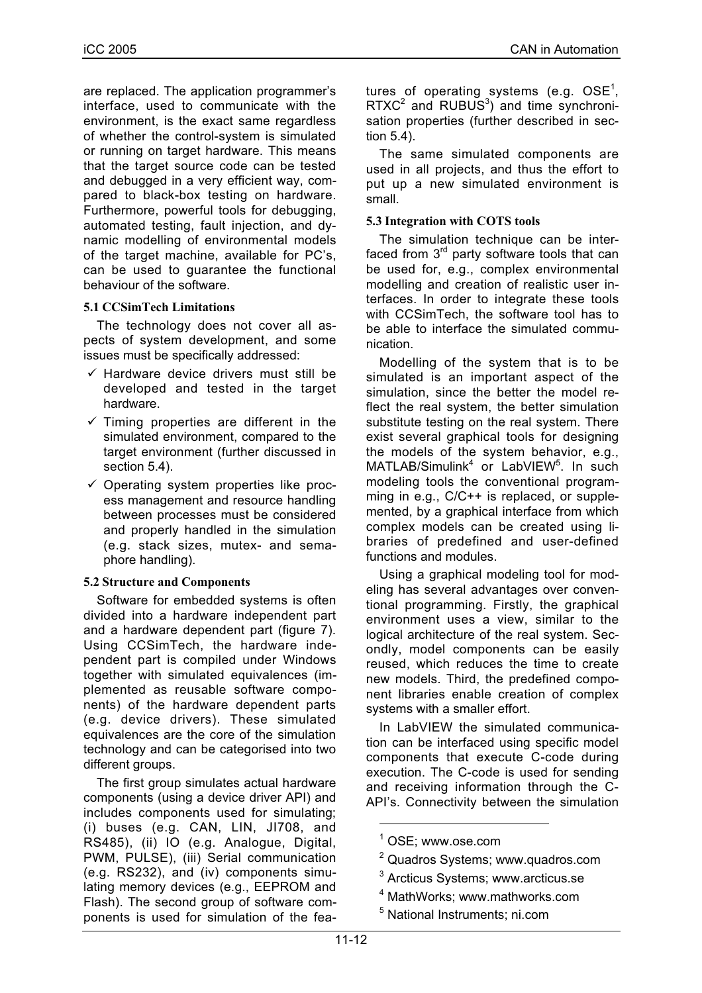are replaced. The application programmer's interface, used to communicate with the environment, is the exact same regardless of whether the control-system is simulated or running on target hardware. This means that the target source code can be tested and debugged in a very efficient way, compared to black-box testing on hardware. Furthermore, powerful tools for debugging, automated testing, fault injection, and dynamic modelling of environmental models of the target machine, available for PC's, can be used to guarantee the functional behaviour of the software.

## **5.1 CCSimTech Limitations**

The technology does not cover all aspects of system development, and some issues must be specifically addressed:

- $\checkmark$  Hardware device drivers must still be developed and tested in the target hardware.
- $\checkmark$  Timing properties are different in the simulated environment, compared to the target environment (further discussed in section 5.4).
- $\checkmark$  Operating system properties like process management and resource handling between processes must be considered and properly handled in the simulation (e.g. stack sizes, mutex- and semaphore handling).

## **5.2 Structure and Components**

Software for embedded systems is often divided into a hardware independent part and a hardware dependent part (figure 7). Using CCSimTech, the hardware independent part is compiled under Windows together with simulated equivalences (implemented as reusable software components) of the hardware dependent parts (e.g. device drivers). These simulated equivalences are the core of the simulation technology and can be categorised into two different groups.

The first group simulates actual hardware components (using a device driver API) and includes components used for simulating; (i) buses (e.g. CAN, LIN, JI708, and RS485), (ii) IO (e.g. Analogue, Digital, PWM, PULSE), (iii) Serial communication (e.g. RS232), and (iv) components simulating memory devices (e.g., EEPROM and Flash). The second group of software components is used for simulation of the fea-

tures of operating systems (e.g. OSE $^{\rm 1}$ ,  $RTXC^2$  and  $RUBUS^3)$  and time synchronisation properties (further described in section 5.4).

The same simulated components are used in all projects, and thus the effort to put up a new simulated environment is small.

## **5.3 Integration with COTS tools**

The simulation technique can be interfaced from 3<sup>rd</sup> party software tools that can be used for, e.g., complex environmental modelling and creation of realistic user interfaces. In order to integrate these tools with CCSimTech, the software tool has to be able to interface the simulated communication.

Modelling of the system that is to be simulated is an important aspect of the simulation, since the better the model reflect the real system, the better simulation substitute testing on the real system. There exist several graphical tools for designing the models of the system behavior, e.g., MATLAB/Simulink<sup>4</sup> or LabVIEW<sup>5</sup>. In such modeling tools the conventional programming in e.g., C/C++ is replaced, or supplemented, by a graphical interface from which complex models can be created using libraries of predefined and user-defined functions and modules.

Using a graphical modeling tool for modeling has several advantages over conventional programming. Firstly, the graphical environment uses a view, similar to the logical architecture of the real system. Secondly, model components can be easily reused, which reduces the time to create new models. Third, the predefined component libraries enable creation of complex systems with a smaller effort.

In LabVIEW the simulated communication can be interfaced using specific model components that execute C-code during execution. The C-code is used for sending and receiving information through the C-API's. Connectivity between the simulation

 $\overline{1}$ OSE; www.ose.com

<sup>&</sup>lt;sup>2</sup> Quadros Systems; www.quadros.com

<sup>&</sup>lt;sup>3</sup> Arcticus Systems; www.arcticus.se

<sup>4</sup> MathWorks; www.mathworks.com

<sup>5</sup> National Instruments; ni.com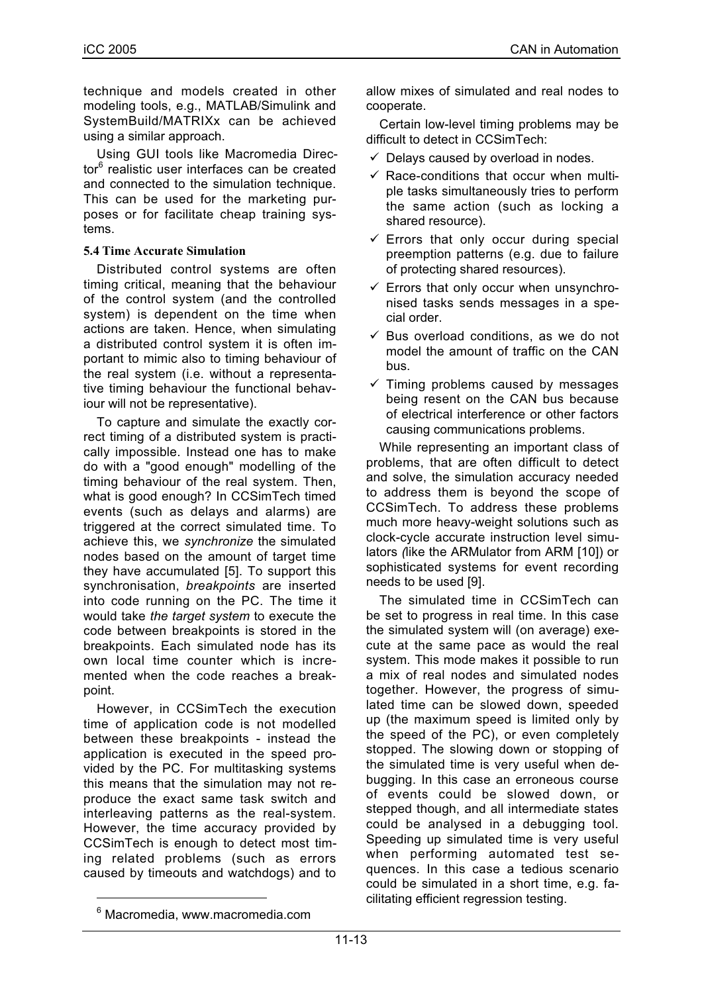technique and models created in other modeling tools, e.g., MATLAB/Simulink and SystemBuild/MATRIXx can be achieved using a similar approach.

Using GUI tools like Macromedia Director<sup>6</sup> realistic user interfaces can be created and connected to the simulation technique. This can be used for the marketing purposes or for facilitate cheap training systems.

## **5.4 Time Accurate Simulation**

Distributed control systems are often timing critical, meaning that the behaviour of the control system (and the controlled system) is dependent on the time when actions are taken. Hence, when simulating a distributed control system it is often important to mimic also to timing behaviour of the real system (i.e. without a representative timing behaviour the functional behaviour will not be representative).

To capture and simulate the exactly correct timing of a distributed system is practically impossible. Instead one has to make do with a "good enough" modelling of the timing behaviour of the real system. Then, what is good enough? In CCSimTech timed events (such as delays and alarms) are triggered at the correct simulated time. To achieve this, we *synchronize* the simulated nodes based on the amount of target time they have accumulated [5]. To support this synchronisation, *breakpoints* are inserted into code running on the PC. The time it would take *the target system* to execute the code between breakpoints is stored in the breakpoints. Each simulated node has its own local time counter which is incremented when the code reaches a breakpoint.

However, in CCSimTech the execution time of application code is not modelled between these breakpoints - instead the application is executed in the speed provided by the PC. For multitasking systems this means that the simulation may not reproduce the exact same task switch and interleaving patterns as the real-system. However, the time accuracy provided by CCSimTech is enough to detect most timing related problems (such as errors caused by timeouts and watchdogs) and to

allow mixes of simulated and real nodes to cooperate.

Certain low-level timing problems may be difficult to detect in CCSimTech:

- $\checkmark$  Delays caused by overload in nodes.
- $\checkmark$  Race-conditions that occur when multiple tasks simultaneously tries to perform the same action (such as locking a shared resource).
- $\checkmark$  Errors that only occur during special preemption patterns (e.g. due to failure of protecting shared resources).
- $\checkmark$  Errors that only occur when unsynchronised tasks sends messages in a special order.
- $\checkmark$  Bus overload conditions, as we do not model the amount of traffic on the CAN bus.
- $\checkmark$  Timing problems caused by messages being resent on the CAN bus because of electrical interference or other factors causing communications problems.

While representing an important class of problems, that are often difficult to detect and solve, the simulation accuracy needed to address them is beyond the scope of CCSimTech. To address these problems much more heavy-weight solutions such as clock-cycle accurate instruction level simulators *(*like the ARMulator from ARM [10]) or sophisticated systems for event recording needs to be used [9].

The simulated time in CCSimTech can be set to progress in real time. In this case the simulated system will (on average) execute at the same pace as would the real system. This mode makes it possible to run a mix of real nodes and simulated nodes together. However, the progress of simulated time can be slowed down, speeded up (the maximum speed is limited only by the speed of the PC), or even completely stopped. The slowing down or stopping of the simulated time is very useful when debugging. In this case an erroneous course of events could be slowed down, or stepped though, and all intermediate states could be analysed in a debugging tool. Speeding up simulated time is very useful when performing automated test sequences. In this case a tedious scenario could be simulated in a short time, e.g. facilitating efficient regression testing.

 $\overline{6}$  $6$  Macromedia, www.macromedia.com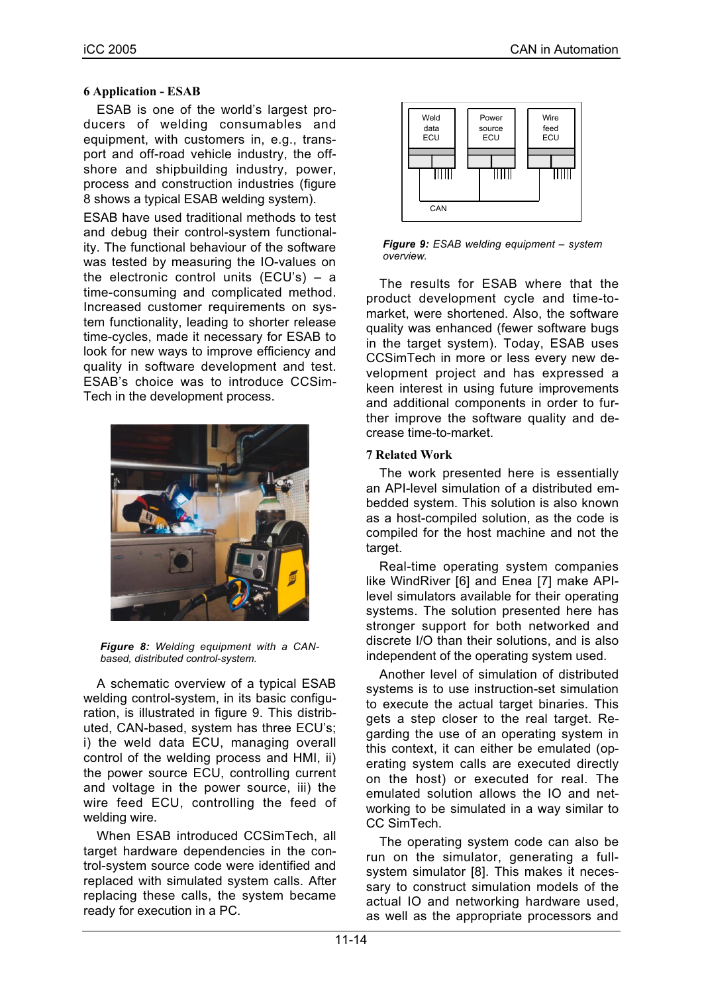ESAB is one of the world's largest producers of welding consumables and equipment, with customers in, e.g., transport and off-road vehicle industry, the offshore and shipbuilding industry, power, process and construction industries (figure 8 shows a typical ESAB welding system).

ESAB have used traditional methods to test and debug their control-system functionality. The functional behaviour of the software was tested by measuring the IO-values on the electronic control units (ECU's) – a time-consuming and complicated method. Increased customer requirements on system functionality, leading to shorter release time-cycles, made it necessary for ESAB to look for new ways to improve efficiency and quality in software development and test. ESAB's choice was to introduce CCSim-Tech in the development process.



*Figure 8: Welding equipment with a CANbased, distributed control-system.*

A schematic overview of a typical ESAB welding control-system, in its basic configuration, is illustrated in figure 9. This distributed, CAN-based, system has three ECU's; i) the weld data ECU, managing overall control of the welding process and HMI, ii) the power source ECU, controlling current and voltage in the power source, iii) the wire feed ECU, controlling the feed of welding wire.

When ESAB introduced CCSimTech, all target hardware dependencies in the control-system source code were identified and replaced with simulated system calls. After replacing these calls, the system became ready for execution in a PC.



*Figure 9: ESAB welding equipment – system overview.*

The results for ESAB where that the product development cycle and time-tomarket, were shortened. Also, the software quality was enhanced (fewer software bugs in the target system). Today, ESAB uses CCSimTech in more or less every new development project and has expressed a keen interest in using future improvements and additional components in order to further improve the software quality and decrease time-to-market.

## **7 Related Work**

The work presented here is essentially an API-level simulation of a distributed embedded system. This solution is also known as a host-compiled solution, as the code is compiled for the host machine and not the target.

Real-time operating system companies like WindRiver [6] and Enea [7] make APIlevel simulators available for their operating systems. The solution presented here has stronger support for both networked and discrete I/O than their solutions, and is also independent of the operating system used.

Another level of simulation of distributed systems is to use instruction-set simulation to execute the actual target binaries. This gets a step closer to the real target. Regarding the use of an operating system in this context, it can either be emulated (operating system calls are executed directly on the host) or executed for real. The emulated solution allows the IO and networking to be simulated in a way similar to CC SimTech.

The operating system code can also be run on the simulator, generating a fullsystem simulator [8]. This makes it necessary to construct simulation models of the actual IO and networking hardware used, as well as the appropriate processors and